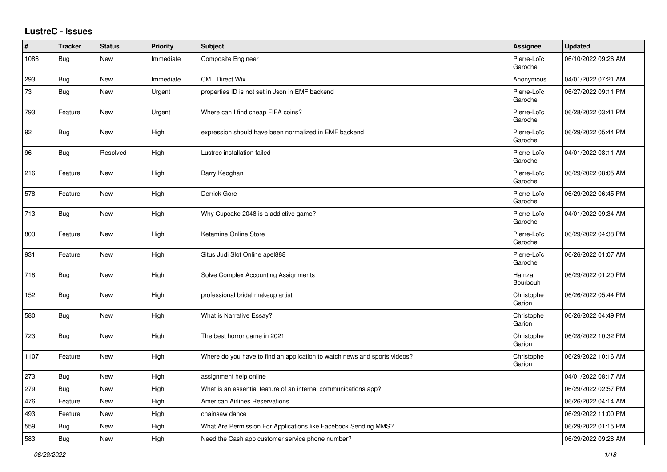## **LustreC - Issues**

| #    | <b>Tracker</b> | <b>Status</b> | Priority  | <b>Subject</b>                                                            | <b>Assignee</b>        | <b>Updated</b>      |
|------|----------------|---------------|-----------|---------------------------------------------------------------------------|------------------------|---------------------|
| 1086 | <b>Bug</b>     | New           | Immediate | Composite Engineer                                                        | Pierre-Loïc<br>Garoche | 06/10/2022 09:26 AM |
| 293  | Bug            | <b>New</b>    | Immediate | <b>CMT Direct Wix</b>                                                     | Anonymous              | 04/01/2022 07:21 AM |
| 73   | Bug            | New           | Urgent    | properties ID is not set in Json in EMF backend                           | Pierre-Loïc<br>Garoche | 06/27/2022 09:11 PM |
| 793  | Feature        | New           | Urgent    | Where can I find cheap FIFA coins?                                        | Pierre-Loïc<br>Garoche | 06/28/2022 03:41 PM |
| 92   | Bug            | <b>New</b>    | High      | expression should have been normalized in EMF backend                     | Pierre-Loïc<br>Garoche | 06/29/2022 05:44 PM |
| 96   | <b>Bug</b>     | Resolved      | High      | Lustrec installation failed                                               | Pierre-Loïc<br>Garoche | 04/01/2022 08:11 AM |
| 216  | Feature        | New           | High      | Barry Keoghan                                                             | Pierre-Loïc<br>Garoche | 06/29/2022 08:05 AM |
| 578  | Feature        | New           | High      | Derrick Gore                                                              | Pierre-Loïc<br>Garoche | 06/29/2022 06:45 PM |
| 713  | <b>Bug</b>     | New           | High      | Why Cupcake 2048 is a addictive game?                                     | Pierre-Loïc<br>Garoche | 04/01/2022 09:34 AM |
| 803  | Feature        | New           | High      | Ketamine Online Store                                                     | Pierre-Loïc<br>Garoche | 06/29/2022 04:38 PM |
| 931  | Feature        | New           | High      | Situs Judi Slot Online apel888                                            | Pierre-Loïc<br>Garoche | 06/26/2022 01:07 AM |
| 718  | <b>Bug</b>     | <b>New</b>    | High      | Solve Complex Accounting Assignments                                      | Hamza<br>Bourbouh      | 06/29/2022 01:20 PM |
| 152  | Bug            | New           | High      | professional bridal makeup artist                                         | Christophe<br>Garion   | 06/26/2022 05:44 PM |
| 580  | Bug            | New           | High      | <b>What is Narrative Essay?</b>                                           | Christophe<br>Garion   | 06/26/2022 04:49 PM |
| 723  | Bug            | New           | High      | The best horror game in 2021                                              | Christophe<br>Garion   | 06/28/2022 10:32 PM |
| 1107 | Feature        | New           | High      | Where do you have to find an application to watch news and sports videos? | Christophe<br>Garion   | 06/29/2022 10:16 AM |
| 273  | Bug            | New           | High      | assignment help online                                                    |                        | 04/01/2022 08:17 AM |
| 279  | Bug            | <b>New</b>    | High      | What is an essential feature of an internal communications app?           |                        | 06/29/2022 02:57 PM |
| 476  | Feature        | <b>New</b>    | High      | <b>American Airlines Reservations</b>                                     |                        | 06/26/2022 04:14 AM |
| 493  | Feature        | New           | High      | chainsaw dance                                                            |                        | 06/29/2022 11:00 PM |
| 559  | Bug            | New           | High      | What Are Permission For Applications like Facebook Sending MMS?           |                        | 06/29/2022 01:15 PM |
| 583  | Bug            | New           | High      | Need the Cash app customer service phone number?                          |                        | 06/29/2022 09:28 AM |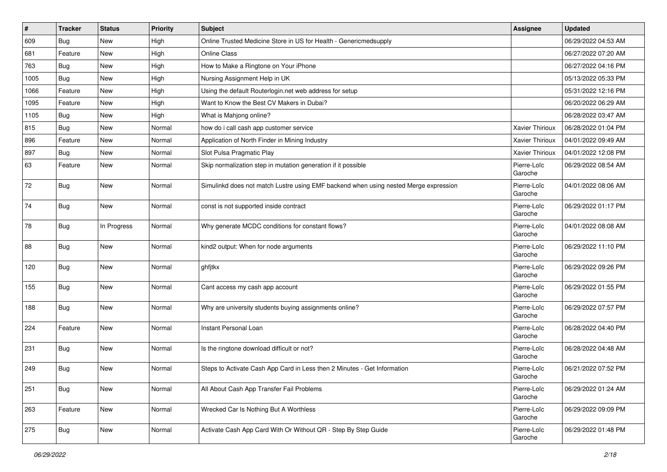| $\vert$ # | <b>Tracker</b> | <b>Status</b> | <b>Priority</b> | <b>Subject</b>                                                                       | Assignee               | <b>Updated</b>      |
|-----------|----------------|---------------|-----------------|--------------------------------------------------------------------------------------|------------------------|---------------------|
| 609       | <b>Bug</b>     | New           | High            | Online Trusted Medicine Store in US for Health - Genericmedsupply                    |                        | 06/29/2022 04:53 AM |
| 681       | Feature        | New           | High            | <b>Online Class</b>                                                                  |                        | 06/27/2022 07:20 AM |
| 763       | Bug            | New           | High            | How to Make a Ringtone on Your iPhone                                                |                        | 06/27/2022 04:16 PM |
| 1005      | Bug            | New           | High            | Nursing Assignment Help in UK                                                        |                        | 05/13/2022 05:33 PM |
| 1066      | Feature        | New           | High            | Using the default Routerlogin.net web address for setup                              |                        | 05/31/2022 12:16 PM |
| 1095      | Feature        | New           | High            | Want to Know the Best CV Makers in Dubai?                                            |                        | 06/20/2022 06:29 AM |
| 1105      | Bug            | New           | High            | What is Mahjong online?                                                              |                        | 06/28/2022 03:47 AM |
| 815       | Bug            | New           | Normal          | how do i call cash app customer service                                              | <b>Xavier Thirioux</b> | 06/28/2022 01:04 PM |
| 896       | Feature        | New           | Normal          | Application of North Finder in Mining Industry                                       | Xavier Thirioux        | 04/01/2022 09:49 AM |
| 897       | <b>Bug</b>     | New           | Normal          | Slot Pulsa Pragmatic Play                                                            | Xavier Thirioux        | 04/01/2022 12:08 PM |
| 63        | Feature        | New           | Normal          | Skip normalization step in mutation generation if it possible                        | Pierre-Loïc<br>Garoche | 06/29/2022 08:54 AM |
| 72        | Bug            | New           | Normal          | Simulinkd does not match Lustre using EMF backend when using nested Merge expression | Pierre-Loïc<br>Garoche | 04/01/2022 08:06 AM |
| 74        | Bug            | New           | Normal          | const is not supported inside contract                                               | Pierre-Loïc<br>Garoche | 06/29/2022 01:17 PM |
| 78        | Bug            | In Progress   | Normal          | Why generate MCDC conditions for constant flows?                                     | Pierre-Loïc<br>Garoche | 04/01/2022 08:08 AM |
| 88        | <b>Bug</b>     | New           | Normal          | kind2 output: When for node arguments                                                | Pierre-Loïc<br>Garoche | 06/29/2022 11:10 PM |
| 120       | Bug            | New           | Normal          | ghfjtkx                                                                              | Pierre-Loïc<br>Garoche | 06/29/2022 09:26 PM |
| 155       | Bug            | New           | Normal          | Cant access my cash app account                                                      | Pierre-Loïc<br>Garoche | 06/29/2022 01:55 PM |
| 188       | <b>Bug</b>     | New           | Normal          | Why are university students buying assignments online?                               | Pierre-Loïc<br>Garoche | 06/29/2022 07:57 PM |
| 224       | Feature        | New           | Normal          | Instant Personal Loan                                                                | Pierre-Loïc<br>Garoche | 06/28/2022 04:40 PM |
| 231       | Bug            | New           | Normal          | Is the ringtone download difficult or not?                                           | Pierre-Loïc<br>Garoche | 06/28/2022 04:48 AM |
| 249       | Bug            | New           | Normal          | Steps to Activate Cash App Card in Less then 2 Minutes - Get Information             | Pierre-Loïc<br>Garoche | 06/21/2022 07:52 PM |
| 251       | Bug            | New           | Normal          | All About Cash App Transfer Fail Problems                                            | Pierre-Loïc<br>Garoche | 06/29/2022 01:24 AM |
| 263       | Feature        | New           | Normal          | Wrecked Car Is Nothing But A Worthless                                               | Pierre-Loïc<br>Garoche | 06/29/2022 09:09 PM |
| 275       | Bug            | New           | Normal          | Activate Cash App Card With Or Without QR - Step By Step Guide                       | Pierre-Loïc<br>Garoche | 06/29/2022 01:48 PM |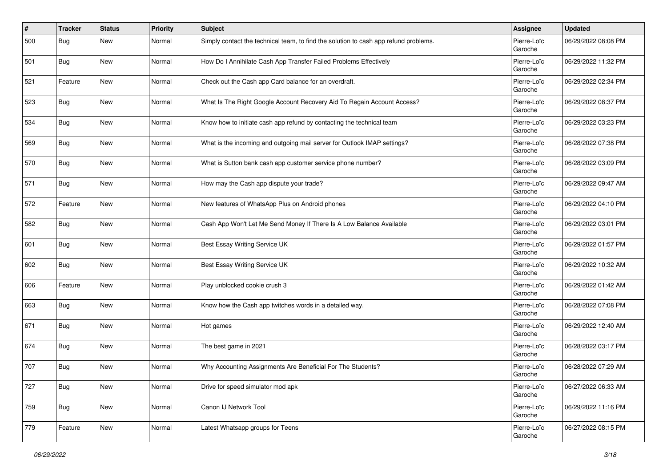| #   | <b>Tracker</b> | <b>Status</b> | <b>Priority</b> | <b>Subject</b>                                                                       | <b>Assignee</b>        | <b>Updated</b>      |
|-----|----------------|---------------|-----------------|--------------------------------------------------------------------------------------|------------------------|---------------------|
| 500 | Bug            | <b>New</b>    | Normal          | Simply contact the technical team, to find the solution to cash app refund problems. | Pierre-Loïc<br>Garoche | 06/29/2022 08:08 PM |
| 501 | Bug            | <b>New</b>    | Normal          | How Do I Annihilate Cash App Transfer Failed Problems Effectively                    | Pierre-Loïc<br>Garoche | 06/29/2022 11:32 PM |
| 521 | Feature        | New           | Normal          | Check out the Cash app Card balance for an overdraft.                                | Pierre-Loïc<br>Garoche | 06/29/2022 02:34 PM |
| 523 | Bug            | <b>New</b>    | Normal          | What Is The Right Google Account Recovery Aid To Regain Account Access?              | Pierre-Loïc<br>Garoche | 06/29/2022 08:37 PM |
| 534 | Bug            | New           | Normal          | Know how to initiate cash app refund by contacting the technical team                | Pierre-Loïc<br>Garoche | 06/29/2022 03:23 PM |
| 569 | <b>Bug</b>     | New           | Normal          | What is the incoming and outgoing mail server for Outlook IMAP settings?             | Pierre-Loïc<br>Garoche | 06/28/2022 07:38 PM |
| 570 | Bug            | <b>New</b>    | Normal          | What is Sutton bank cash app customer service phone number?                          | Pierre-Loïc<br>Garoche | 06/28/2022 03:09 PM |
| 571 | Bug            | <b>New</b>    | Normal          | How may the Cash app dispute your trade?                                             | Pierre-Loïc<br>Garoche | 06/29/2022 09:47 AM |
| 572 | Feature        | New           | Normal          | New features of WhatsApp Plus on Android phones                                      | Pierre-Loïc<br>Garoche | 06/29/2022 04:10 PM |
| 582 | <b>Bug</b>     | New           | Normal          | Cash App Won't Let Me Send Money If There Is A Low Balance Available                 | Pierre-Loïc<br>Garoche | 06/29/2022 03:01 PM |
| 601 | Bug            | <b>New</b>    | Normal          | Best Essay Writing Service UK                                                        | Pierre-Loïc<br>Garoche | 06/29/2022 01:57 PM |
| 602 | Bug            | <b>New</b>    | Normal          | Best Essay Writing Service UK                                                        | Pierre-Loïc<br>Garoche | 06/29/2022 10:32 AM |
| 606 | Feature        | New           | Normal          | Play unblocked cookie crush 3                                                        | Pierre-Loïc<br>Garoche | 06/29/2022 01:42 AM |
| 663 | Bug            | New           | Normal          | Know how the Cash app twitches words in a detailed way.                              | Pierre-Loïc<br>Garoche | 06/28/2022 07:08 PM |
| 671 | Bug            | <b>New</b>    | Normal          | Hot games                                                                            | Pierre-Loïc<br>Garoche | 06/29/2022 12:40 AM |
| 674 | <b>Bug</b>     | <b>New</b>    | Normal          | The best game in 2021                                                                | Pierre-Loïc<br>Garoche | 06/28/2022 03:17 PM |
| 707 | <b>Bug</b>     | <b>New</b>    | Normal          | Why Accounting Assignments Are Beneficial For The Students?                          | Pierre-Loïc<br>Garoche | 06/28/2022 07:29 AM |
| 727 | <b>Bug</b>     | New           | Normal          | Drive for speed simulator mod apk                                                    | Pierre-Loïc<br>Garoche | 06/27/2022 06:33 AM |
| 759 | Bug            | New           | Normal          | Canon IJ Network Tool                                                                | Pierre-Loïc<br>Garoche | 06/29/2022 11:16 PM |
| 779 | Feature        | New           | Normal          | Latest Whatsapp groups for Teens                                                     | Pierre-Loïc<br>Garoche | 06/27/2022 08:15 PM |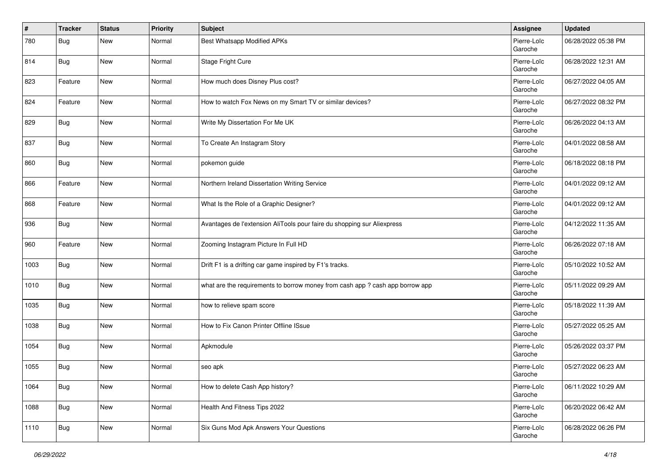| #    | <b>Tracker</b> | <b>Status</b> | <b>Priority</b> | <b>Subject</b>                                                                | Assignee               | <b>Updated</b>      |
|------|----------------|---------------|-----------------|-------------------------------------------------------------------------------|------------------------|---------------------|
| 780  | Bug            | <b>New</b>    | Normal          | Best Whatsapp Modified APKs                                                   | Pierre-Loïc<br>Garoche | 06/28/2022 05:38 PM |
| 814  | Bug            | <b>New</b>    | Normal          | Stage Fright Cure                                                             | Pierre-Loïc<br>Garoche | 06/28/2022 12:31 AM |
| 823  | Feature        | New           | Normal          | How much does Disney Plus cost?                                               | Pierre-Loïc<br>Garoche | 06/27/2022 04:05 AM |
| 824  | Feature        | <b>New</b>    | Normal          | How to watch Fox News on my Smart TV or similar devices?                      | Pierre-Loïc<br>Garoche | 06/27/2022 08:32 PM |
| 829  | Bug            | New           | Normal          | Write My Dissertation For Me UK                                               | Pierre-Loïc<br>Garoche | 06/26/2022 04:13 AM |
| 837  | Bug            | New           | Normal          | To Create An Instagram Story                                                  | Pierre-Loïc<br>Garoche | 04/01/2022 08:58 AM |
| 860  | Bug            | <b>New</b>    | Normal          | pokemon guide                                                                 | Pierre-Loïc<br>Garoche | 06/18/2022 08:18 PM |
| 866  | Feature        | <b>New</b>    | Normal          | Northern Ireland Dissertation Writing Service                                 | Pierre-Loïc<br>Garoche | 04/01/2022 09:12 AM |
| 868  | Feature        | New           | Normal          | What Is the Role of a Graphic Designer?                                       | Pierre-Loïc<br>Garoche | 04/01/2022 09:12 AM |
| 936  | <b>Bug</b>     | New           | Normal          | Avantages de l'extension AliTools pour faire du shopping sur Aliexpress       | Pierre-Loïc<br>Garoche | 04/12/2022 11:35 AM |
| 960  | Feature        | New           | Normal          | Zooming Instagram Picture In Full HD                                          | Pierre-Loïc<br>Garoche | 06/26/2022 07:18 AM |
| 1003 | <b>Bug</b>     | New           | Normal          | Drift F1 is a drifting car game inspired by F1's tracks.                      | Pierre-Loïc<br>Garoche | 05/10/2022 10:52 AM |
| 1010 | <b>Bug</b>     | New           | Normal          | what are the requirements to borrow money from cash app ? cash app borrow app | Pierre-Loïc<br>Garoche | 05/11/2022 09:29 AM |
| 1035 | <b>Bug</b>     | New           | Normal          | how to relieve spam score                                                     | Pierre-Loïc<br>Garoche | 05/18/2022 11:39 AM |
| 1038 | Bug            | <b>New</b>    | Normal          | How to Fix Canon Printer Offline ISsue                                        | Pierre-Loïc<br>Garoche | 05/27/2022 05:25 AM |
| 1054 | <b>Bug</b>     | <b>New</b>    | Normal          | Apkmodule                                                                     | Pierre-Loïc<br>Garoche | 05/26/2022 03:37 PM |
| 1055 | <b>Bug</b>     | New           | Normal          | seo apk                                                                       | Pierre-Loïc<br>Garoche | 05/27/2022 06:23 AM |
| 1064 | <b>Bug</b>     | New           | Normal          | How to delete Cash App history?                                               | Pierre-Loïc<br>Garoche | 06/11/2022 10:29 AM |
| 1088 | <b>Bug</b>     | New           | Normal          | Health And Fitness Tips 2022                                                  | Pierre-Loïc<br>Garoche | 06/20/2022 06:42 AM |
| 1110 | <b>Bug</b>     | New           | Normal          | Six Guns Mod Apk Answers Your Questions                                       | Pierre-Loïc<br>Garoche | 06/28/2022 06:26 PM |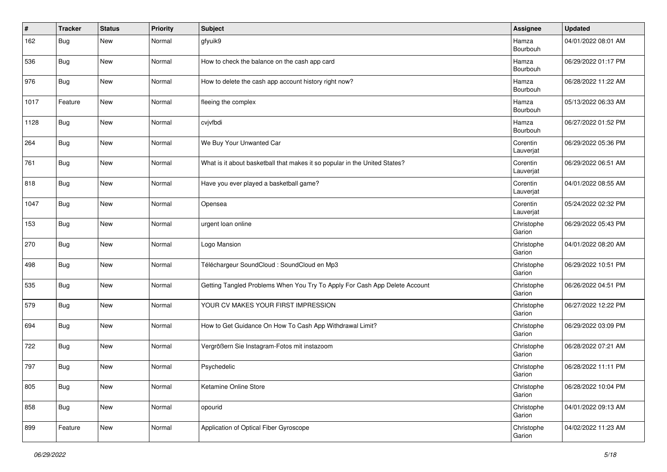| #    | <b>Tracker</b> | <b>Status</b> | <b>Priority</b> | Subject                                                                    | Assignee              | <b>Updated</b>      |
|------|----------------|---------------|-----------------|----------------------------------------------------------------------------|-----------------------|---------------------|
| 162  | Bug            | New           | Normal          | gfyuik9                                                                    | Hamza<br>Bourbouh     | 04/01/2022 08:01 AM |
| 536  | <b>Bug</b>     | <b>New</b>    | Normal          | How to check the balance on the cash app card                              | Hamza<br>Bourbouh     | 06/29/2022 01:17 PM |
| 976  | Bug            | New           | Normal          | How to delete the cash app account history right now?                      | Hamza<br>Bourbouh     | 06/28/2022 11:22 AM |
| 1017 | Feature        | New           | Normal          | fleeing the complex                                                        | Hamza<br>Bourbouh     | 05/13/2022 06:33 AM |
| 1128 | Bug            | New           | Normal          | cvjvfbdi                                                                   | Hamza<br>Bourbouh     | 06/27/2022 01:52 PM |
| 264  | <b>Bug</b>     | New           | Normal          | We Buy Your Unwanted Car                                                   | Corentin<br>Lauverjat | 06/29/2022 05:36 PM |
| 761  | Bug            | New           | Normal          | What is it about basketball that makes it so popular in the United States? | Corentin<br>Lauverjat | 06/29/2022 06:51 AM |
| 818  | <b>Bug</b>     | New           | Normal          | Have you ever played a basketball game?                                    | Corentin<br>Lauverjat | 04/01/2022 08:55 AM |
| 1047 | <b>Bug</b>     | New           | Normal          | Opensea                                                                    | Corentin<br>Lauverjat | 05/24/2022 02:32 PM |
| 153  | Bug            | New           | Normal          | urgent loan online                                                         | Christophe<br>Garion  | 06/29/2022 05:43 PM |
| 270  | Bug            | New           | Normal          | Logo Mansion                                                               | Christophe<br>Garion  | 04/01/2022 08:20 AM |
| 498  | Bug            | New           | Normal          | Téléchargeur SoundCloud : SoundCloud en Mp3                                | Christophe<br>Garion  | 06/29/2022 10:51 PM |
| 535  | <b>Bug</b>     | New           | Normal          | Getting Tangled Problems When You Try To Apply For Cash App Delete Account | Christophe<br>Garion  | 06/26/2022 04:51 PM |
| 579  | Bug            | New           | Normal          | YOUR CV MAKES YOUR FIRST IMPRESSION                                        | Christophe<br>Garion  | 06/27/2022 12:22 PM |
| 694  | Bug            | New           | Normal          | How to Get Guidance On How To Cash App Withdrawal Limit?                   | Christophe<br>Garion  | 06/29/2022 03:09 PM |
| 722  | <b>Bug</b>     | New           | Normal          | Vergrößern Sie Instagram-Fotos mit instazoom                               | Christophe<br>Garion  | 06/28/2022 07:21 AM |
| 797  | Bug            | New           | Normal          | Psychedelic                                                                | Christophe<br>Garion  | 06/28/2022 11:11 PM |
| 805  | <b>Bug</b>     | New           | Normal          | Ketamine Online Store                                                      | Christophe<br>Garion  | 06/28/2022 10:04 PM |
| 858  | <b>Bug</b>     | New           | Normal          | opourid                                                                    | Christophe<br>Garion  | 04/01/2022 09:13 AM |
| 899  | Feature        | New           | Normal          | Application of Optical Fiber Gyroscope                                     | Christophe<br>Garion  | 04/02/2022 11:23 AM |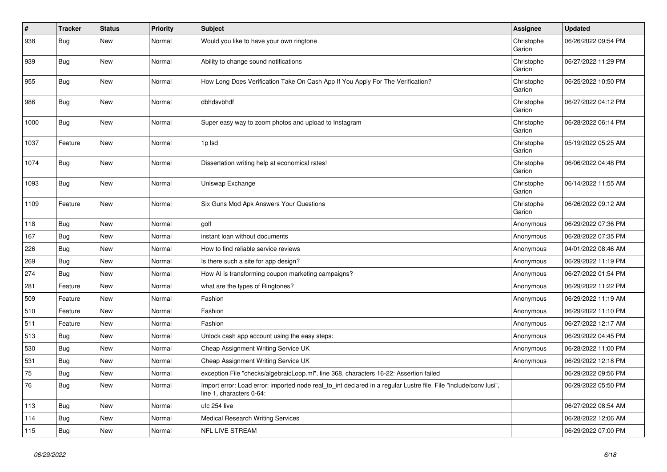| $\vert$ # | <b>Tracker</b> | <b>Status</b> | <b>Priority</b> | <b>Subject</b>                                                                                                                               | Assignee             | <b>Updated</b>      |
|-----------|----------------|---------------|-----------------|----------------------------------------------------------------------------------------------------------------------------------------------|----------------------|---------------------|
| 938       | Bug            | <b>New</b>    | Normal          | Would you like to have your own ringtone                                                                                                     | Christophe<br>Garion | 06/26/2022 09:54 PM |
| 939       | <b>Bug</b>     | <b>New</b>    | Normal          | Ability to change sound notifications                                                                                                        | Christophe<br>Garion | 06/27/2022 11:29 PM |
| 955       | Bug            | <b>New</b>    | Normal          | How Long Does Verification Take On Cash App If You Apply For The Verification?                                                               | Christophe<br>Garion | 06/25/2022 10:50 PM |
| 986       | Bug            | <b>New</b>    | Normal          | dbhdsvbhdf                                                                                                                                   | Christophe<br>Garion | 06/27/2022 04:12 PM |
| 1000      | Bug            | New           | Normal          | Super easy way to zoom photos and upload to Instagram                                                                                        | Christophe<br>Garion | 06/28/2022 06:14 PM |
| 1037      | Feature        | <b>New</b>    | Normal          | 1p Isd                                                                                                                                       | Christophe<br>Garion | 05/19/2022 05:25 AM |
| 1074      | Bug            | <b>New</b>    | Normal          | Dissertation writing help at economical rates!                                                                                               | Christophe<br>Garion | 06/06/2022 04:48 PM |
| 1093      | Bug            | <b>New</b>    | Normal          | Uniswap Exchange                                                                                                                             | Christophe<br>Garion | 06/14/2022 11:55 AM |
| 1109      | Feature        | <b>New</b>    | Normal          | Six Guns Mod Apk Answers Your Questions                                                                                                      | Christophe<br>Garion | 06/26/2022 09:12 AM |
| 118       | Bug            | <b>New</b>    | Normal          | golf                                                                                                                                         | Anonymous            | 06/29/2022 07:36 PM |
| 167       | Bug            | <b>New</b>    | Normal          | instant loan without documents                                                                                                               | Anonymous            | 06/28/2022 07:35 PM |
| 226       | Bug            | New           | Normal          | How to find reliable service reviews                                                                                                         | Anonymous            | 04/01/2022 08:46 AM |
| 269       | Bug            | New           | Normal          | Is there such a site for app design?                                                                                                         | Anonymous            | 06/29/2022 11:19 PM |
| 274       | Bug            | New           | Normal          | How AI is transforming coupon marketing campaigns?                                                                                           | Anonymous            | 06/27/2022 01:54 PM |
| 281       | Feature        | <b>New</b>    | Normal          | what are the types of Ringtones?                                                                                                             | Anonymous            | 06/29/2022 11:22 PM |
| 509       | Feature        | New           | Normal          | Fashion                                                                                                                                      | Anonymous            | 06/29/2022 11:19 AM |
| 510       | Feature        | New           | Normal          | Fashion                                                                                                                                      | Anonymous            | 06/29/2022 11:10 PM |
| 511       | Feature        | New           | Normal          | Fashion                                                                                                                                      | Anonymous            | 06/27/2022 12:17 AM |
| 513       | Bug            | New           | Normal          | Unlock cash app account using the easy steps:                                                                                                | Anonymous            | 06/29/2022 04:45 PM |
| 530       | Bug            | <b>New</b>    | Normal          | Cheap Assignment Writing Service UK                                                                                                          | Anonymous            | 06/28/2022 11:00 PM |
| 531       | Bug            | <b>New</b>    | Normal          | Cheap Assignment Writing Service UK                                                                                                          | Anonymous            | 06/29/2022 12:18 PM |
| 75        | Bug            | New           | Normal          | exception File "checks/algebraicLoop.ml", line 368, characters 16-22: Assertion failed                                                       |                      | 06/29/2022 09:56 PM |
| 76        | Bug            | New           | Normal          | Import error: Load error: imported node real_to_int declared in a regular Lustre file. File "include/conv.lusi",<br>line 1, characters 0-64: |                      | 06/29/2022 05:50 PM |
| 113       | Bug            | <b>New</b>    | Normal          | ufc 254 live                                                                                                                                 |                      | 06/27/2022 08:54 AM |
| 114       | Bug            | <b>New</b>    | Normal          | <b>Medical Research Writing Services</b>                                                                                                     |                      | 06/28/2022 12:06 AM |
| 115       | <b>Bug</b>     | <b>New</b>    | Normal          | <b>NFL LIVE STREAM</b>                                                                                                                       |                      | 06/29/2022 07:00 PM |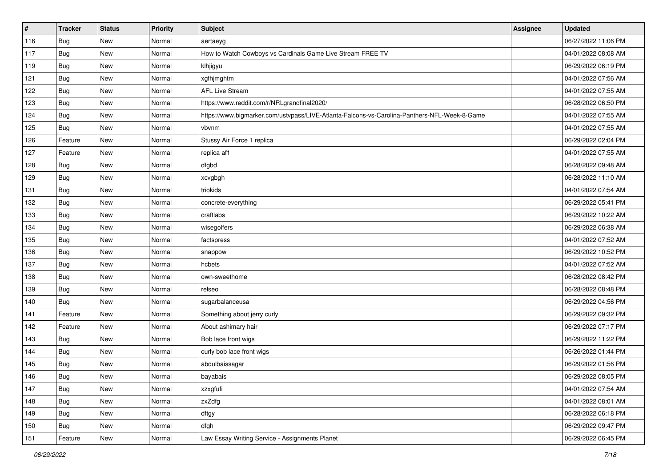| $\vert$ # | <b>Tracker</b> | <b>Status</b> | <b>Priority</b> | Subject                                                                                      | Assignee | <b>Updated</b>      |
|-----------|----------------|---------------|-----------------|----------------------------------------------------------------------------------------------|----------|---------------------|
| 116       | Bug            | New           | Normal          | aertaeyg                                                                                     |          | 06/27/2022 11:06 PM |
| 117       | Bug            | New           | Normal          | How to Watch Cowboys vs Cardinals Game Live Stream FREE TV                                   |          | 04/01/2022 08:08 AM |
| 119       | Bug            | New           | Normal          | klhjigyu                                                                                     |          | 06/29/2022 06:19 PM |
| 121       | <b>Bug</b>     | New           | Normal          | xgfhjmghtm                                                                                   |          | 04/01/2022 07:56 AM |
| 122       | <b>Bug</b>     | New           | Normal          | <b>AFL Live Stream</b>                                                                       |          | 04/01/2022 07:55 AM |
| 123       | <b>Bug</b>     | New           | Normal          | https://www.reddit.com/r/NRLgrandfinal2020/                                                  |          | 06/28/2022 06:50 PM |
| 124       | Bug            | New           | Normal          | https://www.bigmarker.com/ustvpass/LIVE-Atlanta-Falcons-vs-Carolina-Panthers-NFL-Week-8-Game |          | 04/01/2022 07:55 AM |
| 125       | Bug            | New           | Normal          | vbvnm                                                                                        |          | 04/01/2022 07:55 AM |
| 126       | Feature        | New           | Normal          | Stussy Air Force 1 replica                                                                   |          | 06/29/2022 02:04 PM |
| 127       | Feature        | New           | Normal          | replica af1                                                                                  |          | 04/01/2022 07:55 AM |
| 128       | Bug            | New           | Normal          | dfgbd                                                                                        |          | 06/28/2022 09:48 AM |
| 129       | Bug            | New           | Normal          | xcvgbgh                                                                                      |          | 06/28/2022 11:10 AM |
| 131       | Bug            | New           | Normal          | triokids                                                                                     |          | 04/01/2022 07:54 AM |
| 132       | Bug            | New           | Normal          | concrete-everything                                                                          |          | 06/29/2022 05:41 PM |
| 133       | Bug            | New           | Normal          | craftlabs                                                                                    |          | 06/29/2022 10:22 AM |
| 134       | Bug            | New           | Normal          | wisegolfers                                                                                  |          | 06/29/2022 06:38 AM |
| 135       | <b>Bug</b>     | New           | Normal          | factspress                                                                                   |          | 04/01/2022 07:52 AM |
| 136       | Bug            | New           | Normal          | snappow                                                                                      |          | 06/29/2022 10:52 PM |
| 137       | <b>Bug</b>     | New           | Normal          | hcbets                                                                                       |          | 04/01/2022 07:52 AM |
| 138       | <b>Bug</b>     | New           | Normal          | own-sweethome                                                                                |          | 06/28/2022 08:42 PM |
| 139       | Bug            | New           | Normal          | relseo                                                                                       |          | 06/28/2022 08:48 PM |
| 140       | Bug            | New           | Normal          | sugarbalanceusa                                                                              |          | 06/29/2022 04:56 PM |
| 141       | Feature        | New           | Normal          | Something about jerry curly                                                                  |          | 06/29/2022 09:32 PM |
| 142       | Feature        | New           | Normal          | About ashimary hair                                                                          |          | 06/29/2022 07:17 PM |
| 143       | Bug            | New           | Normal          | Bob lace front wigs                                                                          |          | 06/29/2022 11:22 PM |
| 144       | <b>Bug</b>     | New           | Normal          | curly bob lace front wigs                                                                    |          | 06/26/2022 01:44 PM |
| 145       | Bug            | New           | Normal          | abdulbaissagar                                                                               |          | 06/29/2022 01:56 PM |
| 146       | I Bug          | New           | Normal          | bayabais                                                                                     |          | 06/29/2022 08:05 PM |
| 147       | Bug            | New           | Normal          | xzxgfufi                                                                                     |          | 04/01/2022 07:54 AM |
| 148       | Bug            | New           | Normal          | zxZdfg                                                                                       |          | 04/01/2022 08:01 AM |
| 149       | Bug            | New           | Normal          | dftgy                                                                                        |          | 06/28/2022 06:18 PM |
| 150       | Bug            | New           | Normal          | dfgh                                                                                         |          | 06/29/2022 09:47 PM |
| 151       | Feature        | New           | Normal          | Law Essay Writing Service - Assignments Planet                                               |          | 06/29/2022 06:45 PM |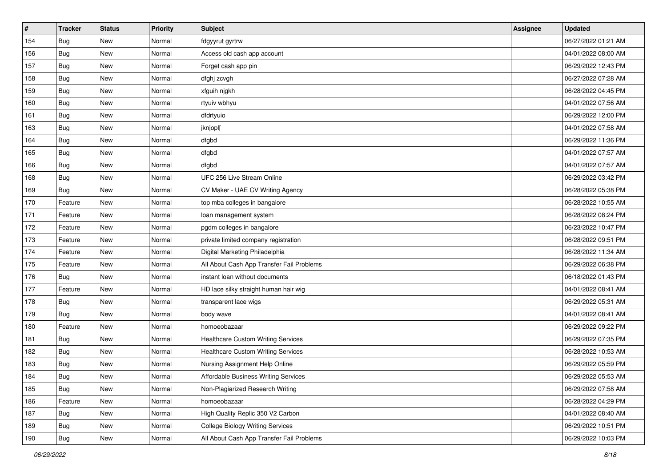| $\pmb{\#}$ | <b>Tracker</b> | <b>Status</b> | <b>Priority</b> | <b>Subject</b>                            | <b>Assignee</b> | <b>Updated</b>      |
|------------|----------------|---------------|-----------------|-------------------------------------------|-----------------|---------------------|
| 154        | <b>Bug</b>     | New           | Normal          | fdgyyrut gyrtrw                           |                 | 06/27/2022 01:21 AM |
| 156        | <b>Bug</b>     | <b>New</b>    | Normal          | Access old cash app account               |                 | 04/01/2022 08:00 AM |
| 157        | Bug            | New           | Normal          | Forget cash app pin                       |                 | 06/29/2022 12:43 PM |
| 158        | Bug            | New           | Normal          | dfghj zcvgh                               |                 | 06/27/2022 07:28 AM |
| 159        | <b>Bug</b>     | <b>New</b>    | Normal          | xfguih njgkh                              |                 | 06/28/2022 04:45 PM |
| 160        | Bug            | New           | Normal          | rtyuiv wbhyu                              |                 | 04/01/2022 07:56 AM |
| 161        | <b>Bug</b>     | <b>New</b>    | Normal          | dfdrtyuio                                 |                 | 06/29/2022 12:00 PM |
| 163        | Bug            | <b>New</b>    | Normal          | jknjopl[                                  |                 | 04/01/2022 07:58 AM |
| 164        | Bug            | <b>New</b>    | Normal          | dfgbd                                     |                 | 06/29/2022 11:36 PM |
| 165        | Bug            | <b>New</b>    | Normal          | dfgbd                                     |                 | 04/01/2022 07:57 AM |
| 166        | <b>Bug</b>     | New           | Normal          | dfgbd                                     |                 | 04/01/2022 07:57 AM |
| 168        | Bug            | New           | Normal          | UFC 256 Live Stream Online                |                 | 06/29/2022 03:42 PM |
| 169        | Bug            | <b>New</b>    | Normal          | CV Maker - UAE CV Writing Agency          |                 | 06/28/2022 05:38 PM |
| 170        | Feature        | <b>New</b>    | Normal          | top mba colleges in bangalore             |                 | 06/28/2022 10:55 AM |
| 171        | Feature        | New           | Normal          | loan management system                    |                 | 06/28/2022 08:24 PM |
| 172        | Feature        | New           | Normal          | pgdm colleges in bangalore                |                 | 06/23/2022 10:47 PM |
| 173        | Feature        | <b>New</b>    | Normal          | private limited company registration      |                 | 06/28/2022 09:51 PM |
| 174        | Feature        | <b>New</b>    | Normal          | Digital Marketing Philadelphia            |                 | 06/28/2022 11:34 AM |
| 175        | Feature        | New           | Normal          | All About Cash App Transfer Fail Problems |                 | 06/29/2022 06:38 PM |
| 176        | Bug            | <b>New</b>    | Normal          | instant loan without documents            |                 | 06/18/2022 01:43 PM |
| 177        | Feature        | New           | Normal          | HD lace silky straight human hair wig     |                 | 04/01/2022 08:41 AM |
| 178        | Bug            | <b>New</b>    | Normal          | transparent lace wigs                     |                 | 06/29/2022 05:31 AM |
| 179        | <b>Bug</b>     | <b>New</b>    | Normal          | body wave                                 |                 | 04/01/2022 08:41 AM |
| 180        | Feature        | New           | Normal          | homoeobazaar                              |                 | 06/29/2022 09:22 PM |
| 181        | Bug            | New           | Normal          | <b>Healthcare Custom Writing Services</b> |                 | 06/29/2022 07:35 PM |
| 182        | Bug            | <b>New</b>    | Normal          | <b>Healthcare Custom Writing Services</b> |                 | 06/28/2022 10:53 AM |
| 183        | Bug            | New           | Normal          | Nursing Assignment Help Online            |                 | 06/29/2022 05:59 PM |
| 184        | <b>Bug</b>     | New           | Normal          | Affordable Business Writing Services      |                 | 06/29/2022 05:53 AM |
| 185        | Bug            | New           | Normal          | Non-Plagiarized Research Writing          |                 | 06/29/2022 07:58 AM |
| 186        | Feature        | New           | Normal          | homoeobazaar                              |                 | 06/28/2022 04:29 PM |
| 187        | <b>Bug</b>     | New           | Normal          | High Quality Replic 350 V2 Carbon         |                 | 04/01/2022 08:40 AM |
| 189        | <b>Bug</b>     | New           | Normal          | <b>College Biology Writing Services</b>   |                 | 06/29/2022 10:51 PM |
| 190        | <b>Bug</b>     | New           | Normal          | All About Cash App Transfer Fail Problems |                 | 06/29/2022 10:03 PM |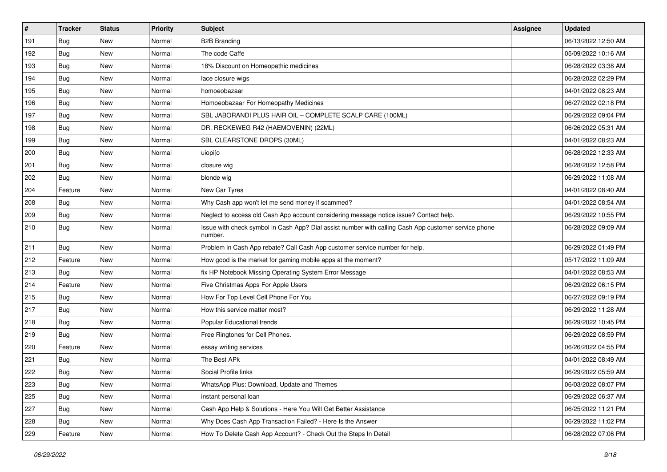| $\#$ | <b>Tracker</b> | <b>Status</b> | <b>Priority</b> | <b>Subject</b>                                                                                                  | <b>Assignee</b> | <b>Updated</b>      |
|------|----------------|---------------|-----------------|-----------------------------------------------------------------------------------------------------------------|-----------------|---------------------|
| 191  | Bug            | New           | Normal          | <b>B2B Branding</b>                                                                                             |                 | 06/13/2022 12:50 AM |
| 192  | Bug            | New           | Normal          | The code Caffe                                                                                                  |                 | 05/09/2022 10:16 AM |
| 193  | Bug            | New           | Normal          | 18% Discount on Homeopathic medicines                                                                           |                 | 06/28/2022 03:38 AM |
| 194  | Bug            | New           | Normal          | lace closure wigs                                                                                               |                 | 06/28/2022 02:29 PM |
| 195  | Bug            | <b>New</b>    | Normal          | homoeobazaar                                                                                                    |                 | 04/01/2022 08:23 AM |
| 196  | Bug            | New           | Normal          | Homoeobazaar For Homeopathy Medicines                                                                           |                 | 06/27/2022 02:18 PM |
| 197  | Bug            | <b>New</b>    | Normal          | SBL JABORANDI PLUS HAIR OIL - COMPLETE SCALP CARE (100ML)                                                       |                 | 06/29/2022 09:04 PM |
| 198  | Bug            | New           | Normal          | DR. RECKEWEG R42 (HAEMOVENIN) (22ML)                                                                            |                 | 06/26/2022 05:31 AM |
| 199  | Bug            | New           | Normal          | SBL CLEARSTONE DROPS (30ML)                                                                                     |                 | 04/01/2022 08:23 AM |
| 200  | Bug            | New           | Normal          | uiopi[o                                                                                                         |                 | 06/28/2022 12:33 AM |
| 201  | Bug            | New           | Normal          | closure wig                                                                                                     |                 | 06/28/2022 12:58 PM |
| 202  | Bug            | New           | Normal          | blonde wig                                                                                                      |                 | 06/29/2022 11:08 AM |
| 204  | Feature        | New           | Normal          | New Car Tyres                                                                                                   |                 | 04/01/2022 08:40 AM |
| 208  | Bug            | <b>New</b>    | Normal          | Why Cash app won't let me send money if scammed?                                                                |                 | 04/01/2022 08:54 AM |
| 209  | Bug            | New           | Normal          | Neglect to access old Cash App account considering message notice issue? Contact help.                          |                 | 06/29/2022 10:55 PM |
| 210  | <b>Bug</b>     | New           | Normal          | Issue with check symbol in Cash App? Dial assist number with calling Cash App customer service phone<br>number. |                 | 06/28/2022 09:09 AM |
| 211  | Bug            | <b>New</b>    | Normal          | Problem in Cash App rebate? Call Cash App customer service number for help.                                     |                 | 06/29/2022 01:49 PM |
| 212  | Feature        | New           | Normal          | How good is the market for gaming mobile apps at the moment?                                                    |                 | 05/17/2022 11:09 AM |
| 213  | Bug            | <b>New</b>    | Normal          | fix HP Notebook Missing Operating System Error Message                                                          |                 | 04/01/2022 08:53 AM |
| 214  | Feature        | New           | Normal          | Five Christmas Apps For Apple Users                                                                             |                 | 06/29/2022 06:15 PM |
| 215  | Bug            | <b>New</b>    | Normal          | How For Top Level Cell Phone For You                                                                            |                 | 06/27/2022 09:19 PM |
| 217  | Bug            | New           | Normal          | How this service matter most?                                                                                   |                 | 06/29/2022 11:28 AM |
| 218  | Bug            | New           | Normal          | Popular Educational trends                                                                                      |                 | 06/29/2022 10:45 PM |
| 219  | Bug            | New           | Normal          | Free Ringtones for Cell Phones.                                                                                 |                 | 06/29/2022 08:59 PM |
| 220  | Feature        | New           | Normal          | essay writing services                                                                                          |                 | 06/26/2022 04:55 PM |
| 221  | Bug            | New           | Normal          | The Best APk                                                                                                    |                 | 04/01/2022 08:49 AM |
| 222  | Bug            | <b>New</b>    | Normal          | Social Profile links                                                                                            |                 | 06/29/2022 05:59 AM |
| 223  | <b>Bug</b>     | New           | Normal          | WhatsApp Plus: Download, Update and Themes                                                                      |                 | 06/03/2022 08:07 PM |
| 225  | <b>Bug</b>     | New           | Normal          | instant personal loan                                                                                           |                 | 06/29/2022 06:37 AM |
| 227  | <b>Bug</b>     | New           | Normal          | Cash App Help & Solutions - Here You Will Get Better Assistance                                                 |                 | 06/25/2022 11:21 PM |
| 228  | Bug            | New           | Normal          | Why Does Cash App Transaction Failed? - Here Is the Answer                                                      |                 | 06/29/2022 11:02 PM |
| 229  | Feature        | New           | Normal          | How To Delete Cash App Account? - Check Out the Steps In Detail                                                 |                 | 06/28/2022 07:06 PM |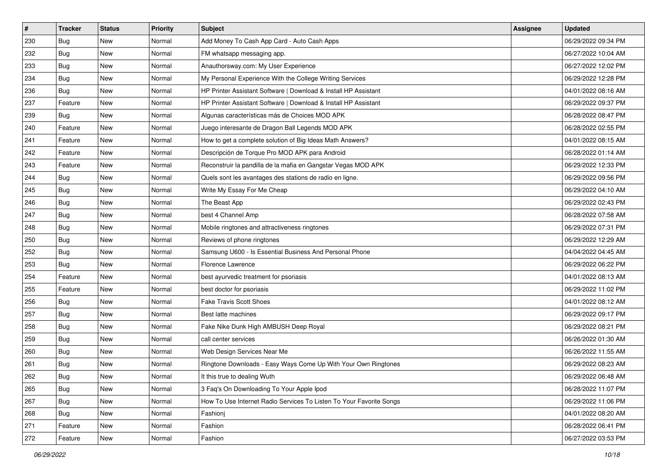| $\pmb{\#}$ | <b>Tracker</b> | <b>Status</b> | <b>Priority</b> | Subject                                                             | <b>Assignee</b> | <b>Updated</b>      |
|------------|----------------|---------------|-----------------|---------------------------------------------------------------------|-----------------|---------------------|
| 230        | Bug            | New           | Normal          | Add Money To Cash App Card - Auto Cash Apps                         |                 | 06/29/2022 09:34 PM |
| 232        | Bug            | New           | Normal          | FM whatsapp messaging app.                                          |                 | 06/27/2022 10:04 AM |
| 233        | Bug            | New           | Normal          | Anauthorsway.com: My User Experience                                |                 | 06/27/2022 12:02 PM |
| 234        | Bug            | New           | Normal          | My Personal Experience With the College Writing Services            |                 | 06/29/2022 12:28 PM |
| 236        | Bug            | <b>New</b>    | Normal          | HP Printer Assistant Software   Download & Install HP Assistant     |                 | 04/01/2022 08:16 AM |
| 237        | Feature        | New           | Normal          | HP Printer Assistant Software   Download & Install HP Assistant     |                 | 06/29/2022 09:37 PM |
| 239        | Bug            | <b>New</b>    | Normal          | Algunas características más de Choices MOD APK                      |                 | 06/28/2022 08:47 PM |
| 240        | Feature        | New           | Normal          | Juego interesante de Dragon Ball Legends MOD APK                    |                 | 06/28/2022 02:55 PM |
| 241        | Feature        | New           | Normal          | How to get a complete solution of Big Ideas Math Answers?           |                 | 04/01/2022 08:15 AM |
| 242        | Feature        | New           | Normal          | Descripción de Torque Pro MOD APK para Android                      |                 | 06/28/2022 01:14 AM |
| 243        | Feature        | New           | Normal          | Reconstruir la pandilla de la mafia en Gangstar Vegas MOD APK       |                 | 06/29/2022 12:33 PM |
| 244        | Bug            | New           | Normal          | Quels sont les avantages des stations de radio en ligne.            |                 | 06/29/2022 09:56 PM |
| 245        | Bug            | New           | Normal          | Write My Essay For Me Cheap                                         |                 | 06/29/2022 04:10 AM |
| 246        | Bug            | New           | Normal          | The Beast App                                                       |                 | 06/29/2022 02:43 PM |
| 247        | Bug            | <b>New</b>    | Normal          | best 4 Channel Amp                                                  |                 | 06/28/2022 07:58 AM |
| 248        | Bug            | New           | Normal          | Mobile ringtones and attractiveness ringtones                       |                 | 06/29/2022 07:31 PM |
| 250        | Bug            | New           | Normal          | Reviews of phone ringtones                                          |                 | 06/29/2022 12:29 AM |
| 252        | Bug            | New           | Normal          | Samsung U600 - Is Essential Business And Personal Phone             |                 | 04/04/2022 04:45 AM |
| 253        | Bug            | New           | Normal          | Florence Lawrence                                                   |                 | 06/29/2022 06:22 PM |
| 254        | Feature        | New           | Normal          | best ayurvedic treatment for psoriasis                              |                 | 04/01/2022 08:13 AM |
| 255        | Feature        | New           | Normal          | best doctor for psoriasis                                           |                 | 06/29/2022 11:02 PM |
| 256        | Bug            | New           | Normal          | <b>Fake Travis Scott Shoes</b>                                      |                 | 04/01/2022 08:12 AM |
| 257        | Bug            | <b>New</b>    | Normal          | Best latte machines                                                 |                 | 06/29/2022 09:17 PM |
| 258        | Bug            | New           | Normal          | Fake Nike Dunk High AMBUSH Deep Royal                               |                 | 06/29/2022 08:21 PM |
| 259        | Bug            | <b>New</b>    | Normal          | call center services                                                |                 | 06/26/2022 01:30 AM |
| 260        | <b>Bug</b>     | New           | Normal          | Web Design Services Near Me                                         |                 | 06/26/2022 11:55 AM |
| 261        | Bug            | New           | Normal          | Ringtone Downloads - Easy Ways Come Up With Your Own Ringtones      |                 | 06/29/2022 08:23 AM |
| 262        | <b>Bug</b>     | New           | Normal          | It this true to dealing Wuth                                        |                 | 06/29/2022 06:48 AM |
| 265        | Bug            | New           | Normal          | 3 Faq's On Downloading To Your Apple Ipod                           |                 | 06/28/2022 11:07 PM |
| 267        | <b>Bug</b>     | New           | Normal          | How To Use Internet Radio Services To Listen To Your Favorite Songs |                 | 06/29/2022 11:06 PM |
| 268        | Bug            | New           | Normal          | Fashionj                                                            |                 | 04/01/2022 08:20 AM |
| 271        | Feature        | New           | Normal          | Fashion                                                             |                 | 06/28/2022 06:41 PM |
| 272        | Feature        | New           | Normal          | Fashion                                                             |                 | 06/27/2022 03:53 PM |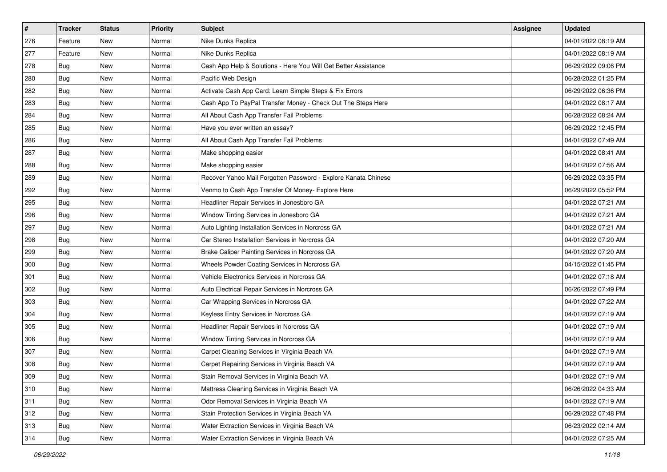| $\pmb{\#}$ | <b>Tracker</b> | <b>Status</b> | <b>Priority</b> | Subject                                                         | <b>Assignee</b> | <b>Updated</b>      |
|------------|----------------|---------------|-----------------|-----------------------------------------------------------------|-----------------|---------------------|
| 276        | Feature        | New           | Normal          | Nike Dunks Replica                                              |                 | 04/01/2022 08:19 AM |
| 277        | Feature        | New           | Normal          | Nike Dunks Replica                                              |                 | 04/01/2022 08:19 AM |
| 278        | Bug            | New           | Normal          | Cash App Help & Solutions - Here You Will Get Better Assistance |                 | 06/29/2022 09:06 PM |
| 280        | Bug            | New           | Normal          | Pacific Web Design                                              |                 | 06/28/2022 01:25 PM |
| 282        | Bug            | <b>New</b>    | Normal          | Activate Cash App Card: Learn Simple Steps & Fix Errors         |                 | 06/29/2022 06:36 PM |
| 283        | Bug            | New           | Normal          | Cash App To PayPal Transfer Money - Check Out The Steps Here    |                 | 04/01/2022 08:17 AM |
| 284        | <b>Bug</b>     | New           | Normal          | All About Cash App Transfer Fail Problems                       |                 | 06/28/2022 08:24 AM |
| 285        | Bug            | New           | Normal          | Have you ever written an essay?                                 |                 | 06/29/2022 12:45 PM |
| 286        | Bug            | New           | Normal          | All About Cash App Transfer Fail Problems                       |                 | 04/01/2022 07:49 AM |
| 287        | Bug            | New           | Normal          | Make shopping easier                                            |                 | 04/01/2022 08:41 AM |
| 288        | Bug            | New           | Normal          | Make shopping easier                                            |                 | 04/01/2022 07:56 AM |
| 289        | Bug            | New           | Normal          | Recover Yahoo Mail Forgotten Password - Explore Kanata Chinese  |                 | 06/29/2022 03:35 PM |
| 292        | <b>Bug</b>     | New           | Normal          | Venmo to Cash App Transfer Of Money- Explore Here               |                 | 06/29/2022 05:52 PM |
| 295        | <b>Bug</b>     | New           | Normal          | Headliner Repair Services in Jonesboro GA                       |                 | 04/01/2022 07:21 AM |
| 296        | Bug            | New           | Normal          | Window Tinting Services in Jonesboro GA                         |                 | 04/01/2022 07:21 AM |
| 297        | <b>Bug</b>     | New           | Normal          | Auto Lighting Installation Services in Norcross GA              |                 | 04/01/2022 07:21 AM |
| 298        | <b>Bug</b>     | New           | Normal          | Car Stereo Installation Services in Norcross GA                 |                 | 04/01/2022 07:20 AM |
| 299        | Bug            | New           | Normal          | Brake Caliper Painting Services in Norcross GA                  |                 | 04/01/2022 07:20 AM |
| 300        | <b>Bug</b>     | New           | Normal          | Wheels Powder Coating Services in Norcross GA                   |                 | 04/15/2022 01:45 PM |
| 301        | <b>Bug</b>     | New           | Normal          | Vehicle Electronics Services in Norcross GA                     |                 | 04/01/2022 07:18 AM |
| 302        | Bug            | New           | Normal          | Auto Electrical Repair Services in Norcross GA                  |                 | 06/26/2022 07:49 PM |
| 303        | Bug            | New           | Normal          | Car Wrapping Services in Norcross GA                            |                 | 04/01/2022 07:22 AM |
| 304        | Bug            | New           | Normal          | Keyless Entry Services in Norcross GA                           |                 | 04/01/2022 07:19 AM |
| 305        | Bug            | New           | Normal          | Headliner Repair Services in Norcross GA                        |                 | 04/01/2022 07:19 AM |
| 306        | Bug            | New           | Normal          | Window Tinting Services in Norcross GA                          |                 | 04/01/2022 07:19 AM |
| 307        | <b>Bug</b>     | New           | Normal          | Carpet Cleaning Services in Virginia Beach VA                   |                 | 04/01/2022 07:19 AM |
| 308        | <b>Bug</b>     | New           | Normal          | Carpet Repairing Services in Virginia Beach VA                  |                 | 04/01/2022 07:19 AM |
| 309        | <b>Bug</b>     | New           | Normal          | Stain Removal Services in Virginia Beach VA                     |                 | 04/01/2022 07:19 AM |
| 310        | Bug            | New           | Normal          | Mattress Cleaning Services in Virginia Beach VA                 |                 | 06/26/2022 04:33 AM |
| 311        | Bug            | New           | Normal          | Odor Removal Services in Virginia Beach VA                      |                 | 04/01/2022 07:19 AM |
| 312        | Bug            | New           | Normal          | Stain Protection Services in Virginia Beach VA                  |                 | 06/29/2022 07:48 PM |
| 313        | Bug            | New           | Normal          | Water Extraction Services in Virginia Beach VA                  |                 | 06/23/2022 02:14 AM |
| 314        | Bug            | New           | Normal          | Water Extraction Services in Virginia Beach VA                  |                 | 04/01/2022 07:25 AM |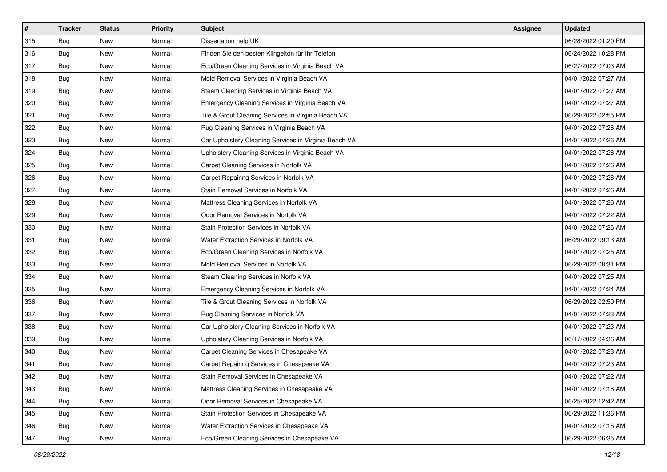| $\vert$ # | <b>Tracker</b> | <b>Status</b> | <b>Priority</b> | Subject                                               | <b>Assignee</b> | <b>Updated</b>      |
|-----------|----------------|---------------|-----------------|-------------------------------------------------------|-----------------|---------------------|
| 315       | Bug            | New           | Normal          | Dissertation help UK                                  |                 | 06/28/2022 01:20 PM |
| 316       | Bug            | New           | Normal          | Finden Sie den besten Klingelton für Ihr Telefon      |                 | 06/24/2022 10:28 PM |
| 317       | Bug            | New           | Normal          | Eco/Green Cleaning Services in Virginia Beach VA      |                 | 06/27/2022 07:03 AM |
| 318       | Bug            | New           | Normal          | Mold Removal Services in Virginia Beach VA            |                 | 04/01/2022 07:27 AM |
| 319       | <b>Bug</b>     | <b>New</b>    | Normal          | Steam Cleaning Services in Virginia Beach VA          |                 | 04/01/2022 07:27 AM |
| 320       | Bug            | <b>New</b>    | Normal          | Emergency Cleaning Services in Virginia Beach VA      |                 | 04/01/2022 07:27 AM |
| 321       | Bug            | New           | Normal          | Tile & Grout Cleaning Services in Virginia Beach VA   |                 | 06/29/2022 02:55 PM |
| 322       | Bug            | New           | Normal          | Rug Cleaning Services in Virginia Beach VA            |                 | 04/01/2022 07:26 AM |
| 323       | Bug            | New           | Normal          | Car Upholstery Cleaning Services in Virginia Beach VA |                 | 04/01/2022 07:26 AM |
| 324       | <b>Bug</b>     | New           | Normal          | Upholstery Cleaning Services in Virginia Beach VA     |                 | 04/01/2022 07:26 AM |
| 325       | Bug            | New           | Normal          | Carpet Cleaning Services in Norfolk VA                |                 | 04/01/2022 07:26 AM |
| 326       | Bug            | New           | Normal          | Carpet Repairing Services in Norfolk VA               |                 | 04/01/2022 07:26 AM |
| 327       | Bug            | New           | Normal          | Stain Removal Services in Norfolk VA                  |                 | 04/01/2022 07:26 AM |
| 328       | Bug            | New           | Normal          | Mattress Cleaning Services in Norfolk VA              |                 | 04/01/2022 07:26 AM |
| 329       | <b>Bug</b>     | <b>New</b>    | Normal          | Odor Removal Services in Norfolk VA                   |                 | 04/01/2022 07:22 AM |
| 330       | Bug            | New           | Normal          | Stain Protection Services in Norfolk VA               |                 | 04/01/2022 07:26 AM |
| 331       | Bug            | New           | Normal          | Water Extraction Services in Norfolk VA               |                 | 06/29/2022 09:13 AM |
| 332       | <b>Bug</b>     | New           | Normal          | Eco/Green Cleaning Services in Norfolk VA             |                 | 04/01/2022 07:25 AM |
| 333       | Bug            | New           | Normal          | Mold Removal Services in Norfolk VA                   |                 | 06/29/2022 08:31 PM |
| 334       | Bug            | New           | Normal          | Steam Cleaning Services in Norfolk VA                 |                 | 04/01/2022 07:25 AM |
| 335       | Bug            | New           | Normal          | Emergency Cleaning Services in Norfolk VA             |                 | 04/01/2022 07:24 AM |
| 336       | Bug            | New           | Normal          | Tile & Grout Cleaning Services in Norfolk VA          |                 | 06/29/2022 02:50 PM |
| 337       | <b>Bug</b>     | New           | Normal          | Rug Cleaning Services in Norfolk VA                   |                 | 04/01/2022 07:23 AM |
| 338       | Bug            | New           | Normal          | Car Upholstery Cleaning Services in Norfolk VA        |                 | 04/01/2022 07:23 AM |
| 339       | Bug            | New           | Normal          | Upholstery Cleaning Services in Norfolk VA            |                 | 06/17/2022 04:36 AM |
| 340       | Bug            | New           | Normal          | Carpet Cleaning Services in Chesapeake VA             |                 | 04/01/2022 07:23 AM |
| 341       | Bug            | New           | Normal          | Carpet Repairing Services in Chesapeake VA            |                 | 04/01/2022 07:23 AM |
| 342       | <b>Bug</b>     | New           | Normal          | Stain Removal Services in Chesapeake VA               |                 | 04/01/2022 07:22 AM |
| 343       | Bug            | New           | Normal          | Mattress Cleaning Services in Chesapeake VA           |                 | 04/01/2022 07:16 AM |
| 344       | Bug            | New           | Normal          | Odor Removal Services in Chesapeake VA                |                 | 06/25/2022 12:42 AM |
| 345       | Bug            | New           | Normal          | Stain Protection Services in Chesapeake VA            |                 | 06/29/2022 11:36 PM |
| 346       | Bug            | New           | Normal          | Water Extraction Services in Chesapeake VA            |                 | 04/01/2022 07:15 AM |
| 347       | Bug            | New           | Normal          | Eco/Green Cleaning Services in Chesapeake VA          |                 | 06/29/2022 06:35 AM |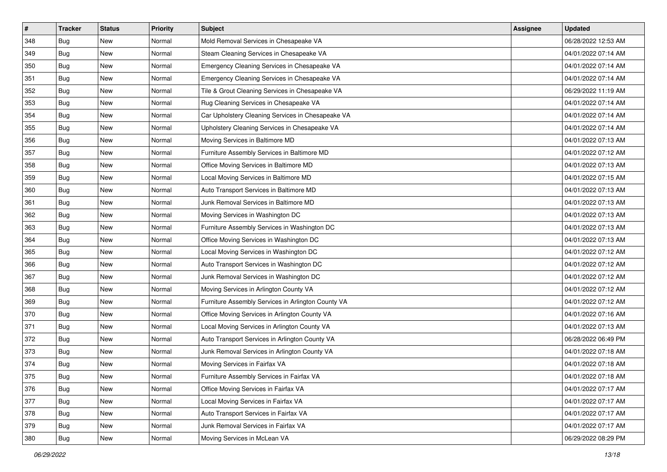| $\sharp$ | <b>Tracker</b> | <b>Status</b> | <b>Priority</b> | <b>Subject</b>                                     | <b>Assignee</b> | <b>Updated</b>      |
|----------|----------------|---------------|-----------------|----------------------------------------------------|-----------------|---------------------|
| 348      | Bug            | New           | Normal          | Mold Removal Services in Chesapeake VA             |                 | 06/28/2022 12:53 AM |
| 349      | Bug            | <b>New</b>    | Normal          | Steam Cleaning Services in Chesapeake VA           |                 | 04/01/2022 07:14 AM |
| 350      | Bug            | New           | Normal          | Emergency Cleaning Services in Chesapeake VA       |                 | 04/01/2022 07:14 AM |
| 351      | Bug            | <b>New</b>    | Normal          | Emergency Cleaning Services in Chesapeake VA       |                 | 04/01/2022 07:14 AM |
| 352      | Bug            | New           | Normal          | Tile & Grout Cleaning Services in Chesapeake VA    |                 | 06/29/2022 11:19 AM |
| 353      | <b>Bug</b>     | New           | Normal          | Rug Cleaning Services in Chesapeake VA             |                 | 04/01/2022 07:14 AM |
| 354      | Bug            | New           | Normal          | Car Upholstery Cleaning Services in Chesapeake VA  |                 | 04/01/2022 07:14 AM |
| 355      | Bug            | New           | Normal          | Upholstery Cleaning Services in Chesapeake VA      |                 | 04/01/2022 07:14 AM |
| 356      | Bug            | New           | Normal          | Moving Services in Baltimore MD                    |                 | 04/01/2022 07:13 AM |
| 357      | <b>Bug</b>     | <b>New</b>    | Normal          | Furniture Assembly Services in Baltimore MD        |                 | 04/01/2022 07:12 AM |
| 358      | Bug            | New           | Normal          | Office Moving Services in Baltimore MD             |                 | 04/01/2022 07:13 AM |
| 359      | Bug            | New           | Normal          | Local Moving Services in Baltimore MD              |                 | 04/01/2022 07:15 AM |
| 360      | <b>Bug</b>     | <b>New</b>    | Normal          | Auto Transport Services in Baltimore MD            |                 | 04/01/2022 07:13 AM |
| 361      | Bug            | New           | Normal          | Junk Removal Services in Baltimore MD              |                 | 04/01/2022 07:13 AM |
| 362      | Bug            | <b>New</b>    | Normal          | Moving Services in Washington DC                   |                 | 04/01/2022 07:13 AM |
| 363      | Bug            | New           | Normal          | Furniture Assembly Services in Washington DC       |                 | 04/01/2022 07:13 AM |
| 364      | Bug            | <b>New</b>    | Normal          | Office Moving Services in Washington DC            |                 | 04/01/2022 07:13 AM |
| 365      | Bug            | New           | Normal          | Local Moving Services in Washington DC             |                 | 04/01/2022 07:12 AM |
| 366      | Bug            | New           | Normal          | Auto Transport Services in Washington DC           |                 | 04/01/2022 07:12 AM |
| 367      | Bug            | <b>New</b>    | Normal          | Junk Removal Services in Washington DC             |                 | 04/01/2022 07:12 AM |
| 368      | Bug            | New           | Normal          | Moving Services in Arlington County VA             |                 | 04/01/2022 07:12 AM |
| 369      | Bug            | New           | Normal          | Furniture Assembly Services in Arlington County VA |                 | 04/01/2022 07:12 AM |
| 370      | Bug            | <b>New</b>    | Normal          | Office Moving Services in Arlington County VA      |                 | 04/01/2022 07:16 AM |
| 371      | Bug            | New           | Normal          | Local Moving Services in Arlington County VA       |                 | 04/01/2022 07:13 AM |
| 372      | Bug            | New           | Normal          | Auto Transport Services in Arlington County VA     |                 | 06/28/2022 06:49 PM |
| 373      | Bug            | <b>New</b>    | Normal          | Junk Removal Services in Arlington County VA       |                 | 04/01/2022 07:18 AM |
| 374      | <b>Bug</b>     | New           | Normal          | Moving Services in Fairfax VA                      |                 | 04/01/2022 07:18 AM |
| 375      | <b>Bug</b>     | New           | Normal          | Furniture Assembly Services in Fairfax VA          |                 | 04/01/2022 07:18 AM |
| 376      | Bug            | New           | Normal          | Office Moving Services in Fairfax VA               |                 | 04/01/2022 07:17 AM |
| 377      | Bug            | New           | Normal          | Local Moving Services in Fairfax VA                |                 | 04/01/2022 07:17 AM |
| 378      | Bug            | New           | Normal          | Auto Transport Services in Fairfax VA              |                 | 04/01/2022 07:17 AM |
| 379      | Bug            | New           | Normal          | Junk Removal Services in Fairfax VA                |                 | 04/01/2022 07:17 AM |
| 380      | <b>Bug</b>     | New           | Normal          | Moving Services in McLean VA                       |                 | 06/29/2022 08:29 PM |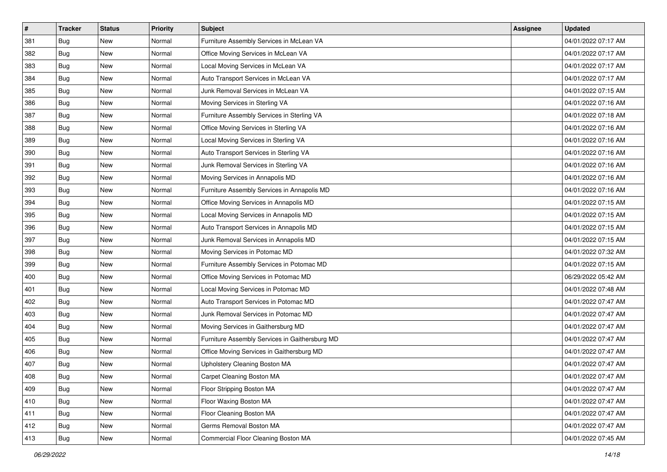| #   | <b>Tracker</b> | <b>Status</b> | <b>Priority</b> | Subject                                        | <b>Assignee</b> | <b>Updated</b>      |
|-----|----------------|---------------|-----------------|------------------------------------------------|-----------------|---------------------|
| 381 | Bug            | New           | Normal          | Furniture Assembly Services in McLean VA       |                 | 04/01/2022 07:17 AM |
| 382 | Bug            | <b>New</b>    | Normal          | Office Moving Services in McLean VA            |                 | 04/01/2022 07:17 AM |
| 383 | Bug            | New           | Normal          | Local Moving Services in McLean VA             |                 | 04/01/2022 07:17 AM |
| 384 | Bug            | New           | Normal          | Auto Transport Services in McLean VA           |                 | 04/01/2022 07:17 AM |
| 385 | Bug            | New           | Normal          | Junk Removal Services in McLean VA             |                 | 04/01/2022 07:15 AM |
| 386 | Bug            | New           | Normal          | Moving Services in Sterling VA                 |                 | 04/01/2022 07:16 AM |
| 387 | Bug            | New           | Normal          | Furniture Assembly Services in Sterling VA     |                 | 04/01/2022 07:18 AM |
| 388 | Bug            | New           | Normal          | Office Moving Services in Sterling VA          |                 | 04/01/2022 07:16 AM |
| 389 | Bug            | New           | Normal          | Local Moving Services in Sterling VA           |                 | 04/01/2022 07:16 AM |
| 390 | Bug            | New           | Normal          | Auto Transport Services in Sterling VA         |                 | 04/01/2022 07:16 AM |
| 391 | <b>Bug</b>     | New           | Normal          | Junk Removal Services in Sterling VA           |                 | 04/01/2022 07:16 AM |
| 392 | Bug            | New           | Normal          | Moving Services in Annapolis MD                |                 | 04/01/2022 07:16 AM |
| 393 | Bug            | New           | Normal          | Furniture Assembly Services in Annapolis MD    |                 | 04/01/2022 07:16 AM |
| 394 | Bug            | New           | Normal          | Office Moving Services in Annapolis MD         |                 | 04/01/2022 07:15 AM |
| 395 | Bug            | New           | Normal          | Local Moving Services in Annapolis MD          |                 | 04/01/2022 07:15 AM |
| 396 | Bug            | New           | Normal          | Auto Transport Services in Annapolis MD        |                 | 04/01/2022 07:15 AM |
| 397 | Bug            | New           | Normal          | Junk Removal Services in Annapolis MD          |                 | 04/01/2022 07:15 AM |
| 398 | Bug            | New           | Normal          | Moving Services in Potomac MD                  |                 | 04/01/2022 07:32 AM |
| 399 | Bug            | New           | Normal          | Furniture Assembly Services in Potomac MD      |                 | 04/01/2022 07:15 AM |
| 400 | Bug            | <b>New</b>    | Normal          | Office Moving Services in Potomac MD           |                 | 06/29/2022 05:42 AM |
| 401 | Bug            | New           | Normal          | Local Moving Services in Potomac MD            |                 | 04/01/2022 07:48 AM |
| 402 | Bug            | New           | Normal          | Auto Transport Services in Potomac MD          |                 | 04/01/2022 07:47 AM |
| 403 | <b>Bug</b>     | New           | Normal          | Junk Removal Services in Potomac MD            |                 | 04/01/2022 07:47 AM |
| 404 | Bug            | New           | Normal          | Moving Services in Gaithersburg MD             |                 | 04/01/2022 07:47 AM |
| 405 | Bug            | New           | Normal          | Furniture Assembly Services in Gaithersburg MD |                 | 04/01/2022 07:47 AM |
| 406 | Bug            | New           | Normal          | Office Moving Services in Gaithersburg MD      |                 | 04/01/2022 07:47 AM |
| 407 | Bug            | New           | Normal          | Upholstery Cleaning Boston MA                  |                 | 04/01/2022 07:47 AM |
| 408 | <b>Bug</b>     | New           | Normal          | Carpet Cleaning Boston MA                      |                 | 04/01/2022 07:47 AM |
| 409 | Bug            | New           | Normal          | Floor Stripping Boston MA                      |                 | 04/01/2022 07:47 AM |
| 410 | Bug            | New           | Normal          | Floor Waxing Boston MA                         |                 | 04/01/2022 07:47 AM |
| 411 | Bug            | New           | Normal          | Floor Cleaning Boston MA                       |                 | 04/01/2022 07:47 AM |
| 412 | Bug            | New           | Normal          | Germs Removal Boston MA                        |                 | 04/01/2022 07:47 AM |
| 413 | <b>Bug</b>     | New           | Normal          | Commercial Floor Cleaning Boston MA            |                 | 04/01/2022 07:45 AM |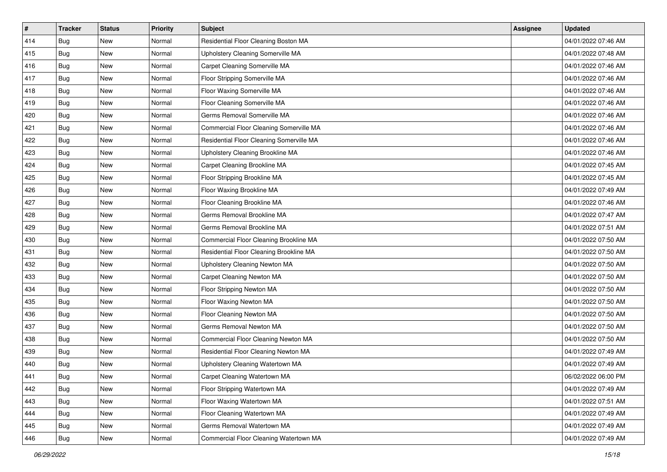| #   | <b>Tracker</b> | <b>Status</b> | <b>Priority</b> | Subject                                        | <b>Assignee</b> | <b>Updated</b>      |
|-----|----------------|---------------|-----------------|------------------------------------------------|-----------------|---------------------|
| 414 | Bug            | New           | Normal          | Residential Floor Cleaning Boston MA           |                 | 04/01/2022 07:46 AM |
| 415 | <b>Bug</b>     | <b>New</b>    | Normal          | Upholstery Cleaning Somerville MA              |                 | 04/01/2022 07:48 AM |
| 416 | Bug            | New           | Normal          | Carpet Cleaning Somerville MA                  |                 | 04/01/2022 07:46 AM |
| 417 | Bug            | New           | Normal          | Floor Stripping Somerville MA                  |                 | 04/01/2022 07:46 AM |
| 418 | Bug            | New           | Normal          | Floor Waxing Somerville MA                     |                 | 04/01/2022 07:46 AM |
| 419 | Bug            | New           | Normal          | Floor Cleaning Somerville MA                   |                 | 04/01/2022 07:46 AM |
| 420 | Bug            | New           | Normal          | Germs Removal Somerville MA                    |                 | 04/01/2022 07:46 AM |
| 421 | Bug            | New           | Normal          | <b>Commercial Floor Cleaning Somerville MA</b> |                 | 04/01/2022 07:46 AM |
| 422 | Bug            | New           | Normal          | Residential Floor Cleaning Somerville MA       |                 | 04/01/2022 07:46 AM |
| 423 | <b>Bug</b>     | New           | Normal          | Upholstery Cleaning Brookline MA               |                 | 04/01/2022 07:46 AM |
| 424 | Bug            | New           | Normal          | Carpet Cleaning Brookline MA                   |                 | 04/01/2022 07:45 AM |
| 425 | Bug            | New           | Normal          | Floor Stripping Brookline MA                   |                 | 04/01/2022 07:45 AM |
| 426 | Bug            | New           | Normal          | Floor Waxing Brookline MA                      |                 | 04/01/2022 07:49 AM |
| 427 | Bug            | New           | Normal          | Floor Cleaning Brookline MA                    |                 | 04/01/2022 07:46 AM |
| 428 | Bug            | New           | Normal          | Germs Removal Brookline MA                     |                 | 04/01/2022 07:47 AM |
| 429 | Bug            | New           | Normal          | Germs Removal Brookline MA                     |                 | 04/01/2022 07:51 AM |
| 430 | Bug            | New           | Normal          | Commercial Floor Cleaning Brookline MA         |                 | 04/01/2022 07:50 AM |
| 431 | Bug            | New           | Normal          | Residential Floor Cleaning Brookline MA        |                 | 04/01/2022 07:50 AM |
| 432 | Bug            | New           | Normal          | Upholstery Cleaning Newton MA                  |                 | 04/01/2022 07:50 AM |
| 433 | Bug            | <b>New</b>    | Normal          | Carpet Cleaning Newton MA                      |                 | 04/01/2022 07:50 AM |
| 434 | Bug            | New           | Normal          | Floor Stripping Newton MA                      |                 | 04/01/2022 07:50 AM |
| 435 | Bug            | New           | Normal          | Floor Waxing Newton MA                         |                 | 04/01/2022 07:50 AM |
| 436 | <b>Bug</b>     | New           | Normal          | Floor Cleaning Newton MA                       |                 | 04/01/2022 07:50 AM |
| 437 | Bug            | New           | Normal          | Germs Removal Newton MA                        |                 | 04/01/2022 07:50 AM |
| 438 | Bug            | New           | Normal          | Commercial Floor Cleaning Newton MA            |                 | 04/01/2022 07:50 AM |
| 439 | Bug            | New           | Normal          | Residential Floor Cleaning Newton MA           |                 | 04/01/2022 07:49 AM |
| 440 | Bug            | New           | Normal          | Upholstery Cleaning Watertown MA               |                 | 04/01/2022 07:49 AM |
| 441 | <b>Bug</b>     | New           | Normal          | Carpet Cleaning Watertown MA                   |                 | 06/02/2022 06:00 PM |
| 442 | Bug            | New           | Normal          | Floor Stripping Watertown MA                   |                 | 04/01/2022 07:49 AM |
| 443 | Bug            | New           | Normal          | Floor Waxing Watertown MA                      |                 | 04/01/2022 07:51 AM |
| 444 | Bug            | New           | Normal          | Floor Cleaning Watertown MA                    |                 | 04/01/2022 07:49 AM |
| 445 | Bug            | New           | Normal          | Germs Removal Watertown MA                     |                 | 04/01/2022 07:49 AM |
| 446 | <b>Bug</b>     | New           | Normal          | Commercial Floor Cleaning Watertown MA         |                 | 04/01/2022 07:49 AM |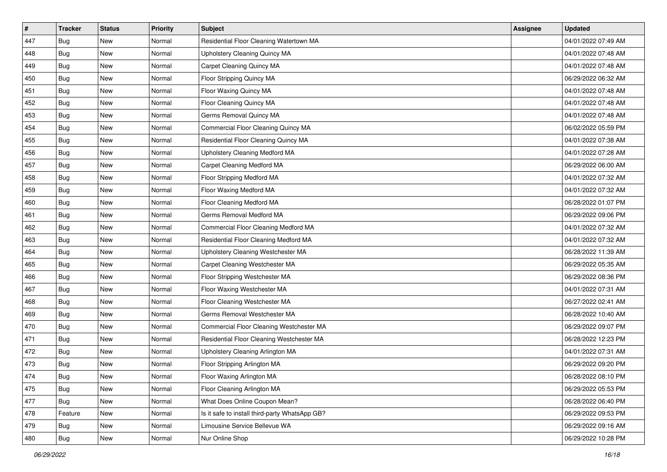| $\vert$ # | <b>Tracker</b> | <b>Status</b> | <b>Priority</b> | <b>Subject</b>                                 | <b>Assignee</b> | <b>Updated</b>      |
|-----------|----------------|---------------|-----------------|------------------------------------------------|-----------------|---------------------|
| 447       | Bug            | New           | Normal          | Residential Floor Cleaning Watertown MA        |                 | 04/01/2022 07:49 AM |
| 448       | Bug            | New           | Normal          | <b>Upholstery Cleaning Quincy MA</b>           |                 | 04/01/2022 07:48 AM |
| 449       | Bug            | New           | Normal          | Carpet Cleaning Quincy MA                      |                 | 04/01/2022 07:48 AM |
| 450       | Bug            | New           | Normal          | Floor Stripping Quincy MA                      |                 | 06/29/2022 06:32 AM |
| 451       | Bug            | <b>New</b>    | Normal          | Floor Waxing Quincy MA                         |                 | 04/01/2022 07:48 AM |
| 452       | <b>Bug</b>     | New           | Normal          | Floor Cleaning Quincy MA                       |                 | 04/01/2022 07:48 AM |
| 453       | Bug            | New           | Normal          | Germs Removal Quincy MA                        |                 | 04/01/2022 07:48 AM |
| 454       | Bug            | New           | Normal          | Commercial Floor Cleaning Quincy MA            |                 | 06/02/2022 05:59 PM |
| 455       | Bug            | New           | Normal          | Residential Floor Cleaning Quincy MA           |                 | 04/01/2022 07:38 AM |
| 456       | <b>Bug</b>     | New           | Normal          | Upholstery Cleaning Medford MA                 |                 | 04/01/2022 07:28 AM |
| 457       | Bug            | New           | Normal          | Carpet Cleaning Medford MA                     |                 | 06/29/2022 06:00 AM |
| 458       | Bug            | New           | Normal          | Floor Stripping Medford MA                     |                 | 04/01/2022 07:32 AM |
| 459       | <b>Bug</b>     | New           | Normal          | Floor Waxing Medford MA                        |                 | 04/01/2022 07:32 AM |
| 460       | Bug            | New           | Normal          | Floor Cleaning Medford MA                      |                 | 06/28/2022 01:07 PM |
| 461       | <b>Bug</b>     | New           | Normal          | Germs Removal Medford MA                       |                 | 06/29/2022 09:06 PM |
| 462       | Bug            | New           | Normal          | Commercial Floor Cleaning Medford MA           |                 | 04/01/2022 07:32 AM |
| 463       | Bug            | New           | Normal          | Residential Floor Cleaning Medford MA          |                 | 04/01/2022 07:32 AM |
| 464       | Bug            | <b>New</b>    | Normal          | Upholstery Cleaning Westchester MA             |                 | 06/28/2022 11:39 AM |
| 465       | Bug            | New           | Normal          | Carpet Cleaning Westchester MA                 |                 | 06/29/2022 05:35 AM |
| 466       | Bug            | New           | Normal          | Floor Stripping Westchester MA                 |                 | 06/29/2022 08:36 PM |
| 467       | Bug            | New           | Normal          | Floor Waxing Westchester MA                    |                 | 04/01/2022 07:31 AM |
| 468       | Bug            | New           | Normal          | Floor Cleaning Westchester MA                  |                 | 06/27/2022 02:41 AM |
| 469       | <b>Bug</b>     | <b>New</b>    | Normal          | Germs Removal Westchester MA                   |                 | 06/28/2022 10:40 AM |
| 470       | Bug            | New           | Normal          | Commercial Floor Cleaning Westchester MA       |                 | 06/29/2022 09:07 PM |
| 471       | Bug            | New           | Normal          | Residential Floor Cleaning Westchester MA      |                 | 06/28/2022 12:23 PM |
| 472       | Bug            | New           | Normal          | Upholstery Cleaning Arlington MA               |                 | 04/01/2022 07:31 AM |
| 473       | Bug            | New           | Normal          | Floor Stripping Arlington MA                   |                 | 06/29/2022 09:20 PM |
| 474       | <b>Bug</b>     | New           | Normal          | Floor Waxing Arlington MA                      |                 | 06/28/2022 08:10 PM |
| 475       | Bug            | New           | Normal          | Floor Cleaning Arlington MA                    |                 | 06/29/2022 05:53 PM |
| 477       | Bug            | New           | Normal          | What Does Online Coupon Mean?                  |                 | 06/28/2022 06:40 PM |
| 478       | Feature        | New           | Normal          | Is it safe to install third-party WhatsApp GB? |                 | 06/29/2022 09:53 PM |
| 479       | Bug            | New           | Normal          | Limousine Service Bellevue WA                  |                 | 06/29/2022 09:16 AM |
| 480       | <b>Bug</b>     | New           | Normal          | Nur Online Shop                                |                 | 06/29/2022 10:28 PM |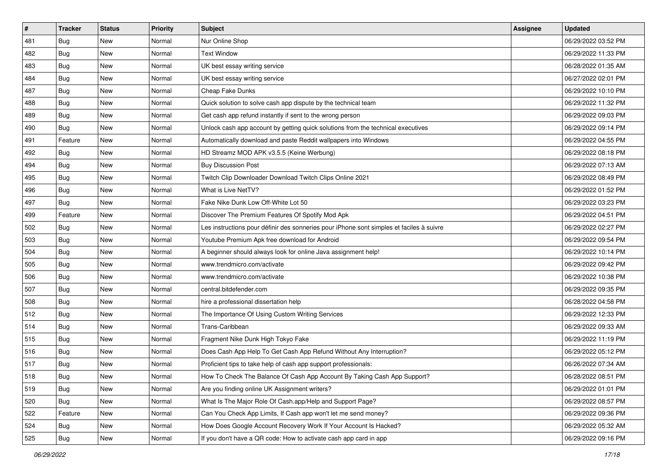| $\pmb{\#}$ | <b>Tracker</b> | <b>Status</b> | Priority | <b>Subject</b>                                                                           | Assignee | <b>Updated</b>      |
|------------|----------------|---------------|----------|------------------------------------------------------------------------------------------|----------|---------------------|
| 481        | Bug            | New           | Normal   | Nur Online Shop                                                                          |          | 06/29/2022 03:52 PM |
| 482        | Bug            | <b>New</b>    | Normal   | <b>Text Window</b>                                                                       |          | 06/29/2022 11:33 PM |
| 483        | Bug            | New           | Normal   | UK best essay writing service                                                            |          | 06/28/2022 01:35 AM |
| 484        | Bug            | New           | Normal   | UK best essay writing service                                                            |          | 06/27/2022 02:01 PM |
| 487        | Bug            | <b>New</b>    | Normal   | Cheap Fake Dunks                                                                         |          | 06/29/2022 10:10 PM |
| 488        | <b>Bug</b>     | New           | Normal   | Quick solution to solve cash app dispute by the technical team                           |          | 06/29/2022 11:32 PM |
| 489        | Bug            | New           | Normal   | Get cash app refund instantly if sent to the wrong person                                |          | 06/29/2022 09:03 PM |
| 490        | Bug            | New           | Normal   | Unlock cash app account by getting quick solutions from the technical executives         |          | 06/29/2022 09:14 PM |
| 491        | Feature        | New           | Normal   | Automatically download and paste Reddit wallpapers into Windows                          |          | 06/29/2022 04:55 PM |
| 492        | Bug            | <b>New</b>    | Normal   | HD Streamz MOD APK v3.5.5 (Keine Werbung)                                                |          | 06/29/2022 08:18 PM |
| 494        | Bug            | New           | Normal   | <b>Buy Discussion Post</b>                                                               |          | 06/29/2022 07:13 AM |
| 495        | Bug            | New           | Normal   | Twitch Clip Downloader Download Twitch Clips Online 2021                                 |          | 06/29/2022 08:49 PM |
| 496        | Bug            | New           | Normal   | What is Live NetTV?                                                                      |          | 06/29/2022 01:52 PM |
| 497        | Bug            | <b>New</b>    | Normal   | Fake Nike Dunk Low Off-White Lot 50                                                      |          | 06/29/2022 03:23 PM |
| 499        | Feature        | New           | Normal   | Discover The Premium Features Of Spotify Mod Apk                                         |          | 06/29/2022 04:51 PM |
| 502        | Bug            | New           | Normal   | Les instructions pour définir des sonneries pour iPhone sont simples et faciles à suivre |          | 06/29/2022 02:27 PM |
| 503        | Bug            | New           | Normal   | Youtube Premium Apk free download for Android                                            |          | 06/29/2022 09:54 PM |
| 504        | Bug            | New           | Normal   | A beginner should always look for online Java assignment help!                           |          | 06/29/2022 10:14 PM |
| 505        | Bug            | New           | Normal   | www.trendmicro.com/activate                                                              |          | 06/29/2022 09:42 PM |
| 506        | Bug            | <b>New</b>    | Normal   | www.trendmicro.com/activate                                                              |          | 06/29/2022 10:38 PM |
| 507        | Bug            | New           | Normal   | central.bitdefender.com                                                                  |          | 06/29/2022 09:35 PM |
| 508        | Bug            | <b>New</b>    | Normal   | hire a professional dissertation help                                                    |          | 06/28/2022 04:58 PM |
| 512        | Bug            | <b>New</b>    | Normal   | The Importance Of Using Custom Writing Services                                          |          | 06/29/2022 12:33 PM |
| 514        | Bug            | New           | Normal   | Trans-Caribbean                                                                          |          | 06/29/2022 09:33 AM |
| 515        | Bug            | New           | Normal   | Fragment Nike Dunk High Tokyo Fake                                                       |          | 06/29/2022 11:19 PM |
| 516        | Bug            | New           | Normal   | Does Cash App Help To Get Cash App Refund Without Any Interruption?                      |          | 06/29/2022 05:12 PM |
| 517        | Bug            | New           | Normal   | Proficient tips to take help of cash app support professionals:                          |          | 06/26/2022 07:34 AM |
| 518        | <b>Bug</b>     | <b>New</b>    | Normal   | How To Check The Balance Of Cash App Account By Taking Cash App Support?                 |          | 06/28/2022 08:51 PM |
| 519        | <b>Bug</b>     | New           | Normal   | Are you finding online UK Assignment writers?                                            |          | 06/29/2022 01:01 PM |
| 520        | Bug            | New           | Normal   | What Is The Major Role Of Cash.app/Help and Support Page?                                |          | 06/29/2022 08:57 PM |
| 522        | Feature        | New           | Normal   | Can You Check App Limits, If Cash app won't let me send money?                           |          | 06/29/2022 09:36 PM |
| 524        | Bug            | New           | Normal   | How Does Google Account Recovery Work If Your Account Is Hacked?                         |          | 06/29/2022 05:32 AM |
| 525        | <b>Bug</b>     | New           | Normal   | If you don't have a QR code: How to activate cash app card in app                        |          | 06/29/2022 09:16 PM |